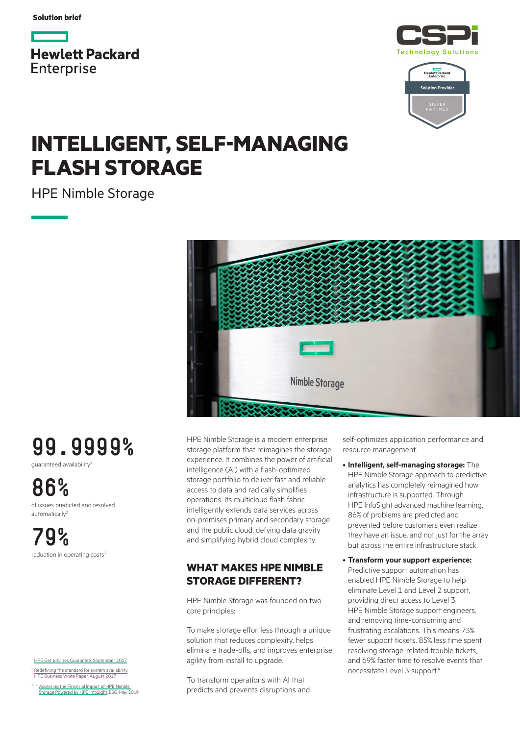**Solution brief**







## **INTELLIGENT, SELF-MANAGING FLASH STORAGE**

HPE Nimble Storage



# **99.9999%**

guaranteed availability1

**86%** of issues predicted and resolved automatically<sup>2</sup>

**79%** reduction in operating costs<sup>3</sup>

<sup>1</sup> [HPE Get 6-Nines Guarantee, September 2017](https://h20195.www2.hpe.com/v2/Getdocument.aspx?docname=a00026086enw)

[Redefining the standard for system availability](https://h20195.www2.hpe.com/v2/Getdocument.aspx?docname=a00018503ENW), **Business White Paper, August 2017** 

Assessing the Financial Impact of HPE Nimble [Storage Powered by HPE InfoSight,](https://h20195.www2.hpe.com/v2/Getdocument.aspx?docname=a00040139enw) ESG, May 2019 HPE Nimble Storage is a modern enterprise storage platform that reimagines the storage experience. It combines the power of artificial intelligence (AI) with a flash-optimized storage portfolio to deliver fast and reliable access to data and radically simplifies operations. Its multicloud flash fabric intelligently extends data services across on-premises primary and secondary storage and the public cloud, defying data gravity and simplifying hybrid cloud complexity.

### **WHAT MAKES HPE NIMBLE STORAGE DIFFERENT?**

HPE Nimble Storage was founded on two core principles:

To make storage effortless through a unique solution that reduces complexity, helps eliminate trade-offs, and improves enterprise agility from install to upgrade.

To transform operations with AI that predicts and prevents disruptions and self-optimizes application performance and resource management.

• **Intelligent, self-managing storage:** The HPE Nimble Storage approach to predictive analytics has completely reimagined how infrastructure is supported. Through HPE InfoSight advanced machine learning, 86% of problems are predicted and prevented before customers even realize they have an issue, and not just for the array but across the entire infrastructure stack.

• **Transform your support experience:** Predictive support automation has enabled HPE Nimble Storage to help eliminate Level 1 and Level 2 support, providing direct access to Level 3 HPE Nimble Storage support engineers, and removing time-consuming and frustrating escalations. This means 73% fewer support tickets, 85% less time spent resolving storage-related trouble tickets, and 69% faster time to resolve events that necessitate Level 3 support.4